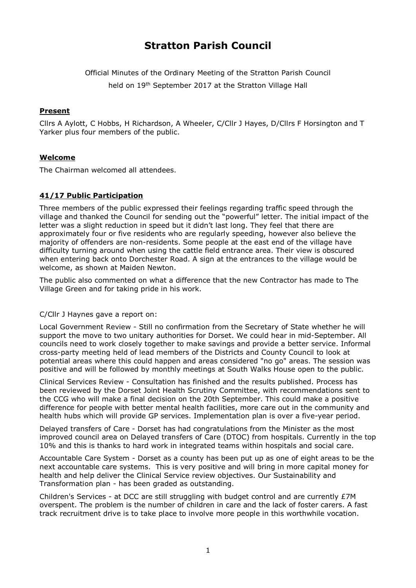# **Stratton Parish Council**

Official Minutes of the Ordinary Meeting of the Stratton Parish Council

held on 19<sup>th</sup> September 2017 at the Stratton Village Hall

## **Present**

Cllrs A Aylott, C Hobbs, H Richardson, A Wheeler, C/Cllr J Hayes, D/Cllrs F Horsington and T Yarker plus four members of the public.

## **Welcome**

The Chairman welcomed all attendees.

## **41/17 Public Participation**

Three members of the public expressed their feelings regarding traffic speed through the village and thanked the Council for sending out the "powerful" letter. The initial impact of the letter was a slight reduction in speed but it didn't last long. They feel that there are approximately four or five residents who are regularly speeding, however also believe the majority of offenders are non-residents. Some people at the east end of the village have difficulty turning around when using the cattle field entrance area. Their view is obscured when entering back onto Dorchester Road. A sign at the entrances to the village would be welcome, as shown at Maiden Newton.

The public also commented on what a difference that the new Contractor has made to The Village Green and for taking pride in his work.

C/Cllr J Haynes gave a report on:

Local Government Review - Still no confirmation from the Secretary of State whether he will support the move to two unitary authorities for Dorset. We could hear in mid-September. All councils need to work closely together to make savings and provide a better service. Informal cross-party meeting held of lead members of the Districts and County Council to look at potential areas where this could happen and areas considered "no go" areas. The session was positive and will be followed by monthly meetings at South Walks House open to the public.

Clinical Services Review - Consultation has finished and the results published. Process has been reviewed by the Dorset Joint Health Scrutiny Committee, with recommendations sent to the CCG who will make a final decision on the 20th September. This could make a positive difference for people with better mental health facilities, more care out in the community and health hubs which will provide GP services. Implementation plan is over a five-year period.

Delayed transfers of Care - Dorset has had congratulations from the Minister as the most improved council area on Delayed transfers of Care (DTOC) from hospitals. Currently in the top 10% and this is thanks to hard work in integrated teams within hospitals and social care.

Accountable Care System - Dorset as a county has been put up as one of eight areas to be the next accountable care systems. This is very positive and will bring in more capital money for health and help deliver the Clinical Service review objectives. Our Sustainability and Transformation plan - has been graded as outstanding.

Children's Services - at DCC are still struggling with budget control and are currently £7M overspent. The problem is the number of children in care and the lack of foster carers. A fast track recruitment drive is to take place to involve more people in this worthwhile vocation.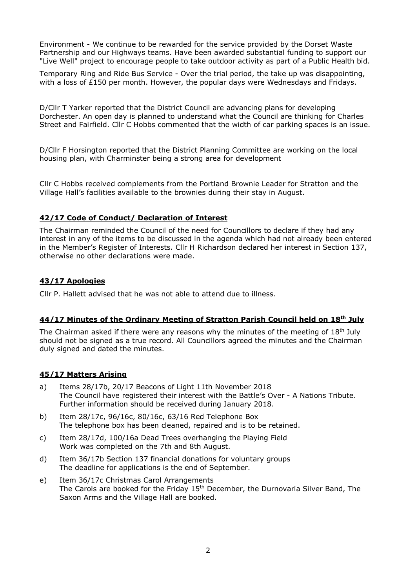Environment - We continue to be rewarded for the service provided by the Dorset Waste Partnership and our Highways teams. Have been awarded substantial funding to support our "Live Well" project to encourage people to take outdoor activity as part of a Public Health bid.

Temporary Ring and Ride Bus Service - Over the trial period, the take up was disappointing, with a loss of £150 per month. However, the popular days were Wednesdays and Fridays.

D/Cllr T Yarker reported that the District Council are advancing plans for developing Dorchester. An open day is planned to understand what the Council are thinking for Charles Street and Fairfield. Cllr C Hobbs commented that the width of car parking spaces is an issue.

D/Cllr F Horsington reported that the District Planning Committee are working on the local housing plan, with Charminster being a strong area for development

Cllr C Hobbs received complements from the Portland Brownie Leader for Stratton and the Village Hall's facilities available to the brownies during their stay in August.

#### **42/17 Code of Conduct/ Declaration of Interest**

The Chairman reminded the Council of the need for Councillors to declare if they had any interest in any of the items to be discussed in the agenda which had not already been entered in the Member's Register of Interests. Cllr H Richardson declared her interest in Section 137, otherwise no other declarations were made.

#### **43/17 Apologies**

Cllr P. Hallett advised that he was not able to attend due to illness.

#### **44/17 Minutes of the Ordinary Meeting of Stratton Parish Council held on 18th July**

The Chairman asked if there were any reasons why the minutes of the meeting of 18<sup>th</sup> July should not be signed as a true record. All Councillors agreed the minutes and the Chairman duly signed and dated the minutes.

#### **45/17 Matters Arising**

- a) Items 28/17b, 20/17 Beacons of Light 11th November 2018 The Council have registered their interest with the Battle's Over - A Nations Tribute. Further information should be received during January 2018.
- b) Item 28/17c, 96/16c, 80/16c, 63/16 Red Telephone Box The telephone box has been cleaned, repaired and is to be retained.
- c) Item 28/17d, 100/16a Dead Trees overhanging the Playing Field Work was completed on the 7th and 8th August.
- d) Item 36/17b Section 137 financial donations for voluntary groups The deadline for applications is the end of September.
- e) Item 36/17c Christmas Carol Arrangements The Carols are booked for the Friday  $15<sup>th</sup>$  December, the Durnovaria Silver Band, The Saxon Arms and the Village Hall are booked.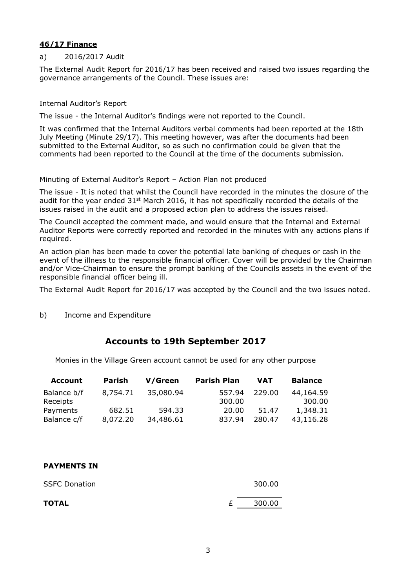#### **46/17 Finance**

#### a) 2016/2017 Audit

The External Audit Report for 2016/17 has been received and raised two issues regarding the governance arrangements of the Council. These issues are:

#### Internal Auditor's Report

The issue - the Internal Auditor's findings were not reported to the Council.

It was confirmed that the Internal Auditors verbal comments had been reported at the 18th July Meeting (Minute 29/17). This meeting however, was after the documents had been submitted to the External Auditor, so as such no confirmation could be given that the comments had been reported to the Council at the time of the documents submission.

#### Minuting of External Auditor's Report – Action Plan not produced

The issue - It is noted that whilst the Council have recorded in the minutes the closure of the audit for the year ended  $31<sup>st</sup>$  March 2016, it has not specifically recorded the details of the issues raised in the audit and a proposed action plan to address the issues raised.

The Council accepted the comment made, and would ensure that the Internal and External Auditor Reports were correctly reported and recorded in the minutes with any actions plans if required.

An action plan has been made to cover the potential late banking of cheques or cash in the event of the illness to the responsible financial officer. Cover will be provided by the Chairman and/or Vice-Chairman to ensure the prompt banking of the Councils assets in the event of the responsible financial officer being ill.

The External Audit Report for 2016/17 was accepted by the Council and the two issues noted.

b) Income and Expenditure

## **Accounts to 19th September 2017**

Monies in the Village Green account cannot be used for any other purpose

| <b>Account</b> | Parish   | V/Green   | <b>Parish Plan</b> | <b>VAT</b> | <b>Balance</b> |
|----------------|----------|-----------|--------------------|------------|----------------|
| Balance b/f    | 8,754,71 | 35,080.94 | 557.94             | 229.00     | 44,164.59      |
| Receipts       |          |           | 300.00             |            | 300.00         |
| Payments       | 682.51   | 594.33    | 20.00              | 51.47      | 1,348.31       |
| Balance c/f    | 8,072.20 | 34,486.61 | 837.94             | 280.47     | 43,116.28      |

#### **PAYMENTS IN**

| <b>SSFC Donation</b> |    | 300.00  |
|----------------------|----|---------|
| <b>TOTAL</b>         | f. | -300.00 |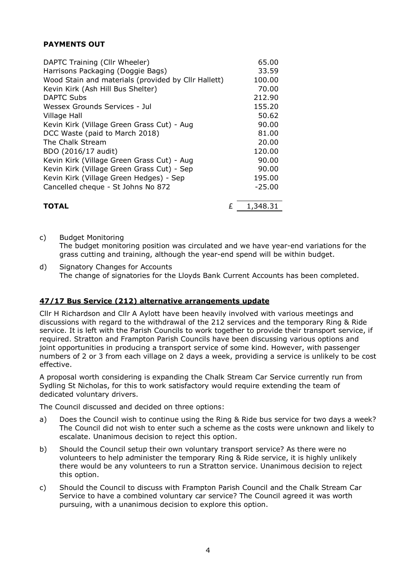## **PAYMENTS OUT**

| DAPTC Training (Cllr Wheeler)                       | 65.00    |
|-----------------------------------------------------|----------|
| Harrisons Packaging (Doggie Bags)                   | 33.59    |
| Wood Stain and materials (provided by Cllr Hallett) | 100.00   |
| Kevin Kirk (Ash Hill Bus Shelter)                   | 70.00    |
| <b>DAPTC Subs</b>                                   | 212.90   |
| Wessex Grounds Services - Jul                       | 155.20   |
| <b>Village Hall</b>                                 | 50.62    |
| Kevin Kirk (Village Green Grass Cut) - Aug          | 90.00    |
| DCC Waste (paid to March 2018)                      | 81.00    |
| The Chalk Stream                                    | 20.00    |
| BDO (2016/17 audit)                                 | 120.00   |
| Kevin Kirk (Village Green Grass Cut) - Aug          | 90.00    |
| Kevin Kirk (Village Green Grass Cut) - Sep          | 90.00    |
| Kevin Kirk (Village Green Hedges) - Sep             | 195.00   |
| Cancelled cheque - St Johns No 872                  | $-25.00$ |
| <b>TOTAL</b>                                        | 1,348.31 |

c) Budget Monitoring The budget monitoring position was circulated and we have year-end variations for the grass cutting and training, although the year-end spend will be within budget.

d) Signatory Changes for Accounts The change of signatories for the Lloyds Bank Current Accounts has been completed.

#### **47/17 Bus Service (212) alternative arrangements update**

Cllr H Richardson and Cllr A Aylott have been heavily involved with various meetings and discussions with regard to the withdrawal of the 212 services and the temporary Ring & Ride service. It is left with the Parish Councils to work together to provide their transport service, if required. Stratton and Frampton Parish Councils have been discussing various options and joint opportunities in producing a transport service of some kind. However, with passenger numbers of 2 or 3 from each village on 2 days a week, providing a service is unlikely to be cost effective.

A proposal worth considering is expanding the Chalk Stream Car Service currently run from Sydling St Nicholas, for this to work satisfactory would require extending the team of dedicated voluntary drivers.

The Council discussed and decided on three options:

- a) Does the Council wish to continue using the Ring & Ride bus service for two days a week? The Council did not wish to enter such a scheme as the costs were unknown and likely to escalate. Unanimous decision to reject this option.
- b) Should the Council setup their own voluntary transport service? As there were no volunteers to help administer the temporary Ring & Ride service, it is highly unlikely there would be any volunteers to run a Stratton service. Unanimous decision to reject this option.
- c) Should the Council to discuss with Frampton Parish Council and the Chalk Stream Car Service to have a combined voluntary car service? The Council agreed it was worth pursuing, with a unanimous decision to explore this option.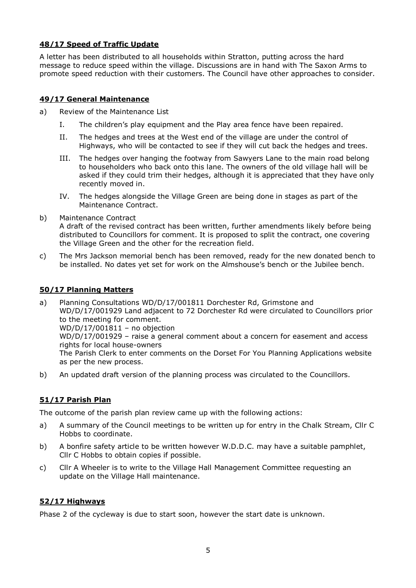## **48/17 Speed of Traffic Update**

A letter has been distributed to all households within Stratton, putting across the hard message to reduce speed within the village. Discussions are in hand with The Saxon Arms to promote speed reduction with their customers. The Council have other approaches to consider.

#### **49/17 General Maintenance**

- a) Review of the Maintenance List
	- I. The children's play equipment and the Play area fence have been repaired.
	- II. The hedges and trees at the West end of the village are under the control of Highways, who will be contacted to see if they will cut back the hedges and trees.
	- III. The hedges over hanging the footway from Sawyers Lane to the main road belong to householders who back onto this lane. The owners of the old village hall will be asked if they could trim their hedges, although it is appreciated that they have only recently moved in.
	- IV. The hedges alongside the Village Green are being done in stages as part of the Maintenance Contract.
- b) Maintenance Contract

A draft of the revised contract has been written, further amendments likely before being distributed to Councillors for comment. It is proposed to split the contract, one covering the Village Green and the other for the recreation field.

c) The Mrs Jackson memorial bench has been removed, ready for the new donated bench to be installed. No dates yet set for work on the Almshouse's bench or the Jubilee bench.

## **50/17 Planning Matters**

a) Planning Consultations WD/D/17/001811 Dorchester Rd, Grimstone and WD/D/17/001929 Land adjacent to 72 Dorchester Rd were circulated to Councillors prior to the meeting for comment. WD/D/17/001811 – no objection WD/D/17/001929 – raise a general comment about a concern for easement and access rights for local house-owners The Parish Clerk to enter comments on the Dorset For You Planning Applications website as per the new process.

b) An updated draft version of the planning process was circulated to the Councillors.

## **51/17 Parish Plan**

The outcome of the parish plan review came up with the following actions:

- a) A summary of the Council meetings to be written up for entry in the Chalk Stream, Cllr C Hobbs to coordinate.
- b) A bonfire safety article to be written however W.D.D.C. may have a suitable pamphlet, Cllr C Hobbs to obtain copies if possible.
- c) Cllr A Wheeler is to write to the Village Hall Management Committee requesting an update on the Village Hall maintenance.

## **52/17 Highways**

Phase 2 of the cycleway is due to start soon, however the start date is unknown.